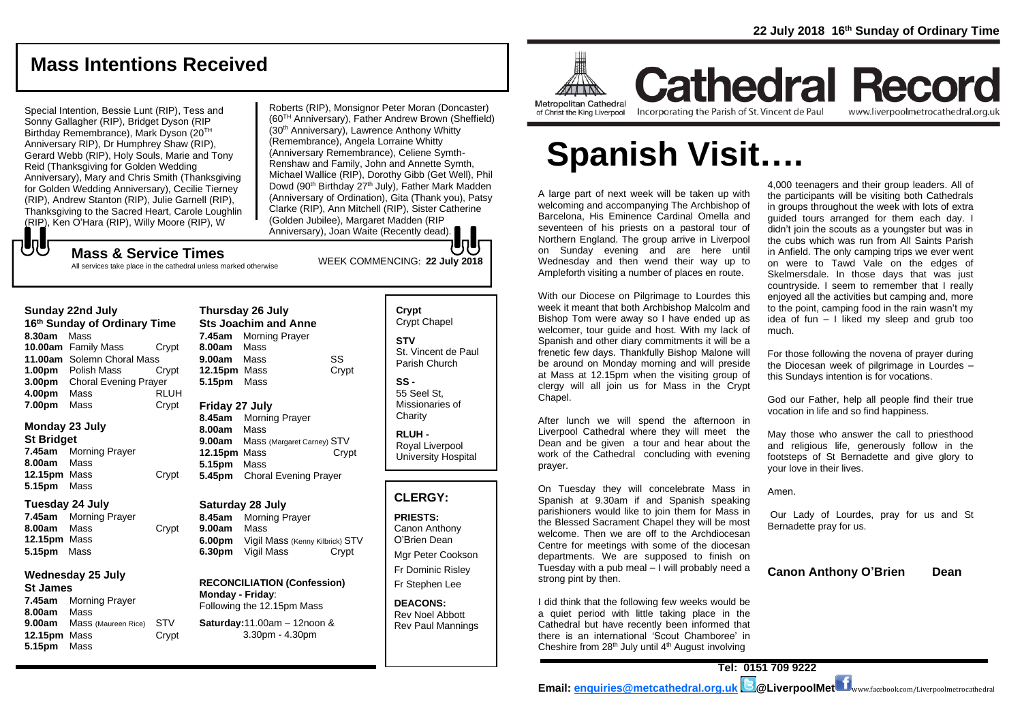# **Mass Intentions Received**

Special Intention, Bessie Lunt (RIP), Tess and Sonny Gallagher (RIP), Bridget Dyson (RIP Birthday Remembrance), Mark Dyson (20TH Anniversary RIP), Dr Humphrey Shaw (RIP), Gerard Webb (RIP), Holy Souls, Marie and Tony Reid (Thanksgiving for Golden Wedding Anniversary), Mary and Chris Smith (Thanksgiving for Golden Wedding Anniversary), Cecilie Tierney (RIP), Andrew Stanton (RIP), Julie Garnell (RIP), Thanksgiving to the Sacred Heart, Carole Loughlin (RIP), Ken O'Hara (RIP), Willy Moore (RIP), W

Roberts (RIP), Monsignor Peter Moran (Doncaster) (60TH Anniversary), Father Andrew Brown (Sheffield) (30<sup>th</sup> Anniversary), Lawrence Anthony Whitty (Remembrance), Angela Lorraine Whitty (Anniversary Remembrance), Celiene Symth-Renshaw and Family, John and Annette Symth, Michael Wallice (RIP), Dorothy Gibb (Get Well), Phil Dowd (90<sup>th</sup> Birthday 27<sup>th</sup> July), Father Mark Madden (Anniversary of Ordination), Gita (Thank you), Patsy Clarke (RIP), Ann Mitchell (RIP), Sister Catherine (Golden Jubilee), Margaret Madden (RIP Anniversary), Joan Waite (Recently dead).

# WEEK COMMENCING: **<sup>22</sup> July <sup>2018</sup> Mass & Service Times**

All services take place in the cathedral unless marked otherwise

| Sunday ZZnd July |                    |                              |       |  |
|------------------|--------------------|------------------------------|-------|--|
|                  |                    | 16th Sunday of Ordinary Time |       |  |
|                  | 8.30am Mass        |                              |       |  |
|                  |                    | 10.00am Family Mass          | Crypt |  |
|                  |                    | 11.00am Solemn Choral Mass   |       |  |
|                  |                    | <b>1.00pm</b> Polish Mass    | Crypt |  |
|                  | 3.00 <sub>pm</sub> | <b>Choral Evening Prayer</b> |       |  |
|                  |                    |                              |       |  |

**Sunday 22nd July** 

**4.00pm** Mass RLUH **7.00pm** Mass Crypt

#### **Monday 23 July**

**St Bridget**

**7.45am** Morning Prayer **8.00am** Mass **12.15pm** Mass Crypt **5.15pm** Mass

#### **Tuesday 24 July**

**7.45am** Morning Prayer **8.00am** Mass Crypt **12.15pm** Mass **5.15pm** Mass

#### **Wednesday 25 July**

**St James 7.45am** Morning Prayer **8.00am** Mass **9.00am** Mass (Maureen Rice) STV **12.15pm** Mass Crypt **5.15pm** Mass

#### **Thursday 26 July Sts Joachim and Anne 7.45am** Morning Prayer **8.00am** Mass **9.00am** Mass SS **12.15pm** Mass Crypt **5.15pm** Mass **Friday 27 July 8.45am** Morning Prayer

**8.00am** Mass **9.00am** Mass (Margaret Carney) STV **12.15pm** Mass Crypt **5.15pm** Mass **5.45pm** Choral Evening Prayer

#### **Saturday 28 July**

**8.45am** Morning Prayer **9.00am** Mass **6.00pm** Vigil Mass (Kenny Kilbrick) STV **6.30pm** Vigil Mass Crypt

#### **RECONCILIATION (Confession) Monday - Friday**:

Following the 12.15pm Mass **Saturday:**11.00am – 12noon & 3.30pm - 4.30pm

#### **Crypt**  Crypt Chapel **STV** St. Vincent de Paul Parish Church

**SS -** 55 Seel St, Missionaries of **Charity** 

**RLUH -** Royal Liverpool University Hospital

#### **CLERGY:**

**PRIESTS:** Canon Anthony O'Brien *Dean* Mgr Peter Cookson

Fr Dominic Risley Fr Stephen Lee

**DEACONS:** Rev Noel Abbott Rev Paul Mannings



**Cathedral Record** of Christ the King Liverpool

Incorporating the Parish of St. Vincent de Paul

www.liverpoolmetrocathedral.org.uk

# **Spanish Visit….**

A large part of next week will be taken up with welcoming and accompanying The Archbishop of Barcelona, His Eminence Cardinal Omella and seventeen of his priests on a pastoral tour of Northern England. The group arrive in Liverpool on Sunday evening and are here until Wednesday and then wend their way up to Ampleforth visiting a number of places en route.

With our Diocese on Pilgrimage to Lourdes this week it meant that both Archbishop Malcolm and Bishop Tom were away so I have ended up as welcomer, tour guide and host. With my lack of Spanish and other diary commitments it will be a frenetic few days. Thankfully Bishop Malone will be around on Monday morning and will preside at Mass at 12.15pm when the visiting group of clergy will all join us for Mass in the Crypt Chapel.

After lunch we will spend the afternoon in Liverpool Cathedral where they will meet the Dean and be given a tour and hear about the work of the Cathedral concluding with evening prayer.

On Tuesday they will concelebrate Mass in Spanish at 9.30am if and Spanish speaking parishioners would like to join them for Mass in the Blessed Sacrament Chapel they will be most welcome. Then we are off to the Archdiocesan Centre for meetings with some of the diocesan departments. We are supposed to finish on Tuesday with a pub meal – I will probably need a strong pint by then.

I did think that the following few weeks would be a quiet period with little taking place in the Cathedral but have recently been informed that there is an international 'Scout Chamboree' in Cheshire from  $28<sup>th</sup>$  July until  $4<sup>th</sup>$  August involving

4,000 teenagers and their group leaders. All of the participants will be visiting both Cathedrals in groups throughout the week with lots of extra guided tours arranged for them each day. I didn't join the scouts as a youngster but was in the cubs which was run from All Saints Parish in Anfield. The only camping trips we ever went on were to Tawd Vale on the edges of Skelmersdale. In those days that was just countryside. I seem to remember that I really enjoyed all the activities but camping and, more to the point, camping food in the rain wasn't my idea of fun – I liked my sleep and grub too much.

For those following the novena of prayer during the Diocesan week of pilgrimage in Lourdes – this Sundays intention is for vocations.

*God our Father, help all people find their true vocation in life and so find happiness.* 

*May those who answer the call to priesthood and religious life, generously follow in the footsteps of St Bernadette and give glory to your love in their lives.* 

*Amen.*

*Our Lady of Lourdes, pray for us and St Bernadette pray for us.*

**Canon Anthony O'Brien Dean**